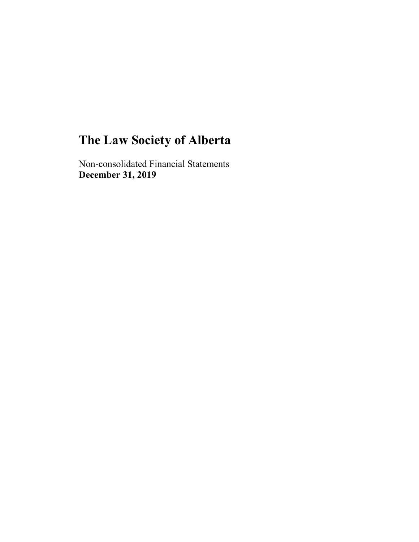Non-consolidated Financial Statements December 31, 2019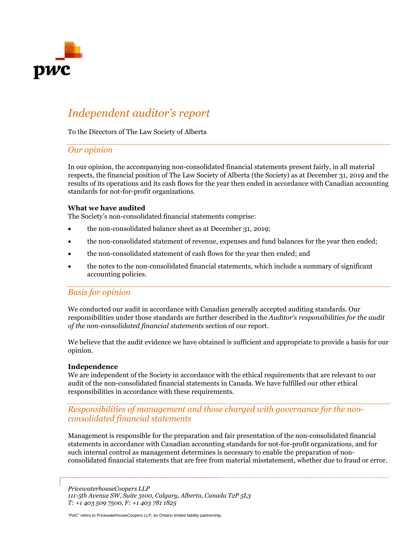

# *Independent auditor's report*

To the Directors of The Law Society of Alberta

#### *Our opinion*

In our opinion, the accompanying non-consolidated financial statements present fairly, in all material respects, the financial position of The Law Society of Alberta (the Society) as at December 31, 2019 and the results of its operations and its cash flows for the year then ended in accordance with Canadian accounting standards for not-for-profit organizations.

#### **What we have audited**

The Society's non-consolidated financial statements comprise:

- the non-consolidated balance sheet as at December 31, 2019;
- the non-consolidated statement of revenue, expenses and fund balances for the year then ended;
- the non-consolidated statement of cash flows for the year then ended; and
- the notes to the non-consolidated financial statements, which include a summary of significant accounting policies.

#### *Basis for opinion*

We conducted our audit in accordance with Canadian generally accepted auditing standards. Our responsibilities under those standards are further described in the *Auditor's responsibilities for the audit of the non-consolidated financial statements* section of our report.

We believe that the audit evidence we have obtained is sufficient and appropriate to provide a basis for our opinion.

#### **Independence**

We are independent of the Society in accordance with the ethical requirements that are relevant to our audit of the non-consolidated financial statements in Canada. We have fulfilled our other ethical responsibilities in accordance with these requirements.

#### *Responsibilities of management and those charged with governance for the nonconsolidated financial statements*

Management is responsible for the preparation and fair presentation of the non-consolidated financial statements in accordance with Canadian accounting standards for not-for-profit organizations, and for such internal control as management determines is necessary to enable the preparation of nonconsolidated financial statements that are free from material misstatement, whether due to fraud or error.

*PricewaterhouseCoopers LLP 111-5th Avenue SW, Suite 3100, Calgary, Alberta, Canada T2P 5L3 T: +1 403 509 7500, F: +1 403 781 1825*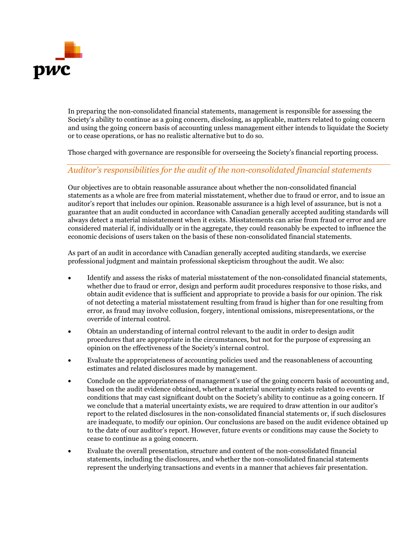

In preparing the non-consolidated financial statements, management is responsible for assessing the Society's ability to continue as a going concern, disclosing, as applicable, matters related to going concern and using the going concern basis of accounting unless management either intends to liquidate the Society or to cease operations, or has no realistic alternative but to do so.

Those charged with governance are responsible for overseeing the Society's financial reporting process.

#### *Auditor's responsibilities for the audit of the non-consolidated financial statements*

Our objectives are to obtain reasonable assurance about whether the non-consolidated financial statements as a whole are free from material misstatement, whether due to fraud or error, and to issue an auditor's report that includes our opinion. Reasonable assurance is a high level of assurance, but is not a guarantee that an audit conducted in accordance with Canadian generally accepted auditing standards will always detect a material misstatement when it exists. Misstatements can arise from fraud or error and are considered material if, individually or in the aggregate, they could reasonably be expected to influence the economic decisions of users taken on the basis of these non-consolidated financial statements.

As part of an audit in accordance with Canadian generally accepted auditing standards, we exercise professional judgment and maintain professional skepticism throughout the audit. We also:

- Identify and assess the risks of material misstatement of the non-consolidated financial statements, whether due to fraud or error, design and perform audit procedures responsive to those risks, and obtain audit evidence that is sufficient and appropriate to provide a basis for our opinion. The risk of not detecting a material misstatement resulting from fraud is higher than for one resulting from error, as fraud may involve collusion, forgery, intentional omissions, misrepresentations, or the override of internal control.
- Obtain an understanding of internal control relevant to the audit in order to design audit procedures that are appropriate in the circumstances, but not for the purpose of expressing an opinion on the effectiveness of the Society's internal control.
- Evaluate the appropriateness of accounting policies used and the reasonableness of accounting estimates and related disclosures made by management.
- Conclude on the appropriateness of management's use of the going concern basis of accounting and, based on the audit evidence obtained, whether a material uncertainty exists related to events or conditions that may cast significant doubt on the Society's ability to continue as a going concern. If we conclude that a material uncertainty exists, we are required to draw attention in our auditor's report to the related disclosures in the non-consolidated financial statements or, if such disclosures are inadequate, to modify our opinion. Our conclusions are based on the audit evidence obtained up to the date of our auditor's report. However, future events or conditions may cause the Society to cease to continue as a going concern.
- Evaluate the overall presentation, structure and content of the non-consolidated financial statements, including the disclosures, and whether the non-consolidated financial statements represent the underlying transactions and events in a manner that achieves fair presentation.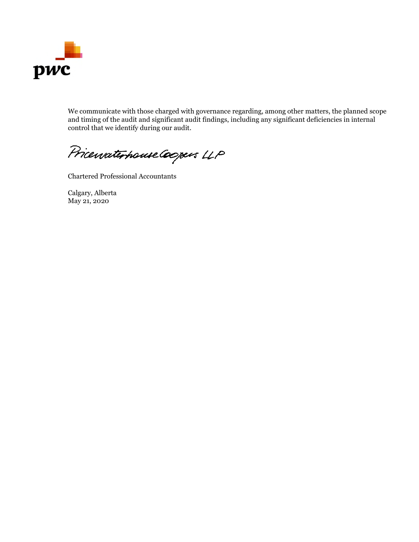

We communicate with those charged with governance regarding, among other matters, the planned scope and timing of the audit and significant audit findings, including any significant deficiencies in internal control that we identify during our audit.

Pricewaterhouse Coopers LLP

Chartered Professional Accountants

Calgary, Alberta May 21, 2020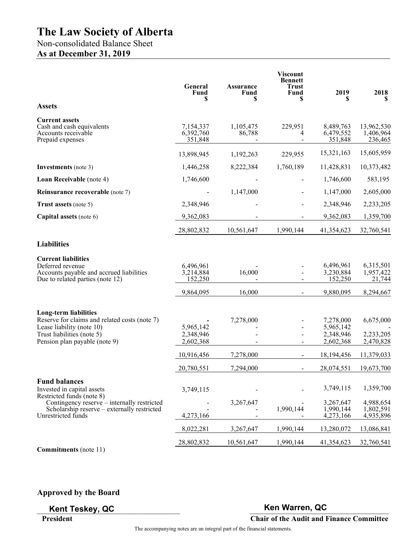### Non-consolidated Balance Sheet

### As at December 31, 2019

|                                                                                                                                                                    | General<br>Fund<br>S                | <b>Assurance</b><br>Fund<br>S | <b>Viscount</b><br><b>Bennett</b><br><b>Trust</b><br>Fund<br>S | 2019<br>S                                        | 2018<br>S                           |
|--------------------------------------------------------------------------------------------------------------------------------------------------------------------|-------------------------------------|-------------------------------|----------------------------------------------------------------|--------------------------------------------------|-------------------------------------|
| <b>Assets</b>                                                                                                                                                      |                                     |                               |                                                                |                                                  |                                     |
| <b>Current assets</b><br>Cash and cash equivalents<br>Accounts receivable<br>Prepaid expenses                                                                      | 7,154,337<br>6,392,760<br>351,848   | 1,105,475<br>86,788           | 229,951<br>4                                                   | 8,489,763<br>6,479,552<br>351,848                | 13,962,530<br>1,406,964<br>236,465  |
|                                                                                                                                                                    | 13,898,945                          | 1,192,263                     | 229,955                                                        | 15,321,163                                       | 15,605,959                          |
| Investments (note 3)                                                                                                                                               | 1,446,258                           | 8,222,384                     | 1,760,189                                                      | 11,428,831                                       | 10,373,482                          |
| Loan Receivable (note 4)                                                                                                                                           | 1,746,600                           |                               |                                                                | 1,746,600                                        | 583,195                             |
| <b>Reinsurance recoverable</b> (note 7)                                                                                                                            |                                     | 1,147,000                     |                                                                | 1,147,000                                        | 2,605,000                           |
| Trust assets (note 5)                                                                                                                                              | 2,348,946                           |                               |                                                                | 2,348,946                                        | 2,233,205                           |
| Capital assets (note 6)                                                                                                                                            | 9,362,083                           |                               |                                                                | 9,362,083                                        | 1,359,700                           |
|                                                                                                                                                                    | 28,802,832                          | 10,561,647                    | 1,990,144                                                      | 41,354,623                                       | 32,760,541                          |
| <b>Liabilities</b>                                                                                                                                                 |                                     |                               |                                                                |                                                  |                                     |
| <b>Current liabilities</b><br>Deferred revenue<br>Accounts payable and accrued liabilities<br>Due to related parties (note 12)                                     | 6,496,961<br>3,214,884<br>152,250   | 16,000                        |                                                                | 6,496,961<br>3,230,884<br>152,250                | 6,315,501<br>1,957,422<br>21,744    |
|                                                                                                                                                                    | 9,864,095                           | 16,000                        | $\blacksquare$                                                 | 9,880,095                                        | 8,294,667                           |
| Long-term liabilities<br>Reserve for claims and related costs (note 7)<br>Lease liability (note 10)<br>Trust liabilities (note 5)<br>Pension plan payable (note 9) | 5,965,142<br>2,348,946<br>2,602,368 | 7,278,000                     | $\overline{a}$                                                 | 7,278,000<br>5,965,142<br>2,348,946<br>2,602,368 | 6,675,000<br>2,233,205<br>2,470,828 |
|                                                                                                                                                                    | 10,916,456                          | 7,278,000                     | $\qquad \qquad \blacksquare$                                   | 18,194,456                                       | 11,379,033                          |
|                                                                                                                                                                    | 20,780,551                          | 7,294,000                     | $\blacksquare$                                                 | 28,074,551                                       | 19,673,700                          |
| <b>Fund balances</b><br>Invested in capital assets<br>Restricted funds (note 8)                                                                                    | 3,749,115                           |                               |                                                                | 3,749,115                                        | 1,359,700                           |
| Contingency reserve – internally restricted<br>Scholarship reserve – externally restricted<br>Unrestricted funds                                                   | 4,273,166                           | 3,267,647                     | 1,990,144                                                      | 3,267,647<br>1,990,144<br>4,273,166              | 4,988,654<br>1,802,591<br>4,935,896 |
|                                                                                                                                                                    | 8,022,281                           | 3,267,647                     | 1,990,144                                                      | 13,280,072                                       | 13,086,841                          |
|                                                                                                                                                                    | 28,802,832                          | 10,561,647                    | 1,990,144                                                      | 41,354,623                                       | 32,760,541                          |

Commitments (note 11)

### Approved by the Board

### \_\_\_\_\_\_\_\_\_\_\_\_\_\_\_\_\_\_\_\_\_\_\_\_\_\_\_\_\_\_\_\_\_\_\_\_\_\_ \_\_\_\_\_\_\_\_\_\_\_\_\_\_\_\_\_\_\_\_\_\_\_\_\_\_\_\_\_\_\_\_\_\_\_\_\_ **Kent Teskey, QC Ken Warren, QC**

President **Chair of the Audit and Finance Committee**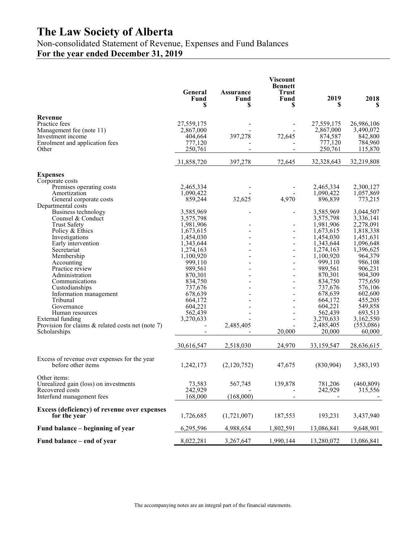Non-consolidated Statement of Revenue, Expenses and Fund Balances

### For the year ended December 31, 2019

|                                                              | General<br>Fund<br>\$  | <b>Assurance</b><br>Fund<br>S | <b>Viscount</b><br><b>Bennett</b><br><b>Trust</b><br>Fund<br>S | 2019<br>S              | 2018<br>S            |
|--------------------------------------------------------------|------------------------|-------------------------------|----------------------------------------------------------------|------------------------|----------------------|
| <b>Revenue</b>                                               |                        |                               |                                                                |                        |                      |
| Practice fees                                                | 27,559,175             |                               |                                                                | 27,559,175             | 26,986,106           |
| Management fee (note 11)                                     | 2,867,000              |                               |                                                                | 2,867,000              | 3,490,072            |
| Investment income<br>Enrolment and application fees          | 404,664<br>777,120     | 397,278                       | 72,645                                                         | 874,587<br>777,120     | 842,800<br>784,960   |
| Other                                                        | 250,761                |                               |                                                                | 250,761                | 115,870              |
|                                                              | 31,858,720             | 397,278                       | 72,645                                                         | 32,328,643             | 32,219,808           |
| <b>Expenses</b>                                              |                        |                               |                                                                |                        |                      |
| Corporate costs                                              |                        |                               |                                                                |                        |                      |
| Premises operating costs                                     | 2,465,334              |                               |                                                                | 2,465,334              | 2,300,127            |
| Amortization                                                 | 1,090,422              |                               |                                                                | 1,090,422              | 1,057,869            |
| General corporate costs<br>Departmental costs                | 859,244                | 32,625                        | 4,970                                                          | 896,839                | 773,215              |
| Business technology                                          | 3,585,969              |                               |                                                                | 3,585,969              | 3,044,507            |
| Counsel & Conduct                                            | 3,575,798              |                               |                                                                | 3,575,798              | 3,336,141            |
| <b>Trust Safety</b>                                          | 1,981,906              |                               | $\overline{\phantom{a}}$                                       | 1,981,906              | 2,278,091            |
| Policy & Ethics                                              | 1,673,615              |                               | $\qquad \qquad \blacksquare$                                   | 1,673,615              | 1,818,338            |
| Investigations                                               | 1,454,030              |                               |                                                                | 1,454,030              | 1,451,631            |
| Early intervention                                           | 1,343,644              |                               | $\qquad \qquad \blacksquare$                                   | 1,343,644              | 1,096,648            |
| Secretariat<br>Membership                                    | 1,274,163<br>1,100,920 |                               | $\overline{a}$<br>L,                                           | 1,274,163<br>1,100,920 | 1,396,625<br>964,379 |
| Accounting                                                   | 999,110                |                               |                                                                | 999,110                | 986,108              |
| Practice review                                              | 989,561                |                               |                                                                | 989,561                | 906,231              |
| Administration                                               | 870,301                |                               |                                                                | 870,301                | 904,309              |
| Communications                                               | 834,750                |                               |                                                                | 834,750                | 775,650              |
| Custodianships                                               | 737,676                |                               |                                                                | 737,676                | 576,106              |
| Information management                                       | 678,639                |                               |                                                                | 678,639                | 602,600              |
| Tribunal                                                     | 664,172                |                               |                                                                | 664,172                | 455,205              |
| Governance<br>Human resources                                | 604,221<br>562,439     |                               |                                                                | 604,221<br>562,439     | 549,858              |
| <b>External</b> funding                                      | 3,270,633              |                               | $\qquad \qquad \blacksquare$                                   | 3,270,633              | 693,513<br>3,162,550 |
| Provision for claims & related costs net (note 7)            |                        | 2,485,405                     | $\qquad \qquad \blacksquare$                                   | 2,485,405              | (553,086)            |
| Scholarships                                                 |                        |                               | 20,000                                                         | 20,000                 | 60,000               |
|                                                              | 30,616,547             | 2,518,030                     | 24,970                                                         | 33,159,547             | 28,636,615           |
| Excess of revenue over expenses for the year                 |                        |                               |                                                                |                        |                      |
| before other items                                           | 1,242,173              | (2,120,752)                   | 47,675                                                         | (830,904)              | 3,583,193            |
|                                                              |                        |                               |                                                                |                        |                      |
| Other items:                                                 |                        |                               |                                                                |                        |                      |
| Unrealized gain (loss) on investments                        | 73,583                 | 567,745                       | 139,878                                                        | 781,206                | (460, 809)           |
| Recovered costs<br>Interfund management fees                 | 242,929<br>168,000     | (168,000)                     |                                                                | 242,929                | 315,556              |
|                                                              |                        |                               |                                                                |                        |                      |
| Excess (deficiency) of revenue over expenses<br>for the year | 1,726,685              | (1,721,007)                   | 187,553                                                        | 193,231                | 3,437,940            |
| Fund balance – beginning of year                             | 6,295,596              | 4,988,654                     | 1,802,591                                                      | 13,086,841             | 9,648,901            |
| Fund balance – end of year                                   | 8,022,281              | 3,267,647                     | 1,990,144                                                      | 13,280,072             | 13,086,841           |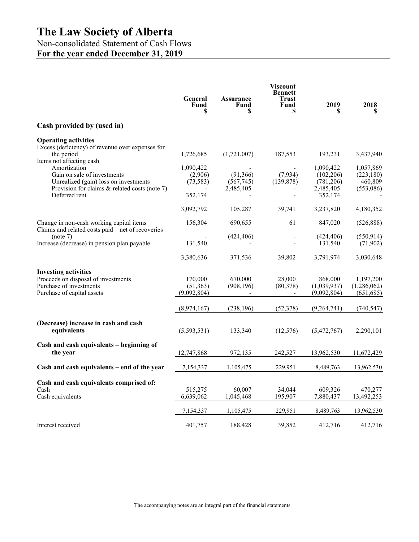# Non-consolidated Statement of Cash Flows

For the year ended December 31, 2019

|                                                                                                                                                        | General<br>Fund<br>\$                        | <b>Assurance</b><br>Fund<br>\$      | <b>Viscount</b><br><b>Bennett</b><br><b>Trust</b><br>Fund<br>\$ | 2019<br>\$                                                    | 2018                                            |
|--------------------------------------------------------------------------------------------------------------------------------------------------------|----------------------------------------------|-------------------------------------|-----------------------------------------------------------------|---------------------------------------------------------------|-------------------------------------------------|
| Cash provided by (used in)                                                                                                                             |                                              |                                     |                                                                 |                                                               |                                                 |
| <b>Operating activities</b><br>Excess (deficiency) of revenue over expenses for<br>the period<br>Items not affecting cash                              | 1,726,685                                    | (1,721,007)                         | 187,553                                                         | 193,231                                                       | 3,437,940                                       |
| Amortization<br>Gain on sale of investments<br>Unrealized (gain) loss on investments<br>Provision for claims & related costs (note 7)<br>Deferred rent | 1,090,422<br>(2,906)<br>(73, 583)<br>352,174 | (91, 366)<br>(567,745)<br>2,485,405 | (7,934)<br>(139, 878)                                           | 1,090,422<br>(102, 206)<br>(781, 206)<br>2,485,405<br>352,174 | 1,057,869<br>(223, 180)<br>460,809<br>(553,086) |
|                                                                                                                                                        | 3,092,792                                    | 105,287                             | 39,741                                                          | 3,237,820                                                     | 4,180,352                                       |
| Change in non-cash working capital items                                                                                                               | 156,304                                      | 690,655                             | 61                                                              | 847,020                                                       | (526, 888)                                      |
| Claims and related costs paid – net of recoveries<br>(note 7)<br>Increase (decrease) in pension plan payable                                           | 131,540                                      | (424, 406)                          |                                                                 | (424, 406)<br>131,540                                         | (550, 914)<br>(71, 902)                         |
|                                                                                                                                                        | 3,380,636                                    | 371,536                             | 39,802                                                          | 3,791,974                                                     | 3,030,648                                       |
| <b>Investing activities</b><br>Proceeds on disposal of investments<br>Purchase of investments<br>Purchase of capital assets                            | 170,000<br>(51, 363)<br>(9,092,804)          | 670,000<br>(908, 196)               | 28,000<br>(80, 378)                                             | 868,000<br>(1,039,937)<br>(9,092,804)                         | 1,197,200<br>(1,286,062)<br>(651, 685)          |
|                                                                                                                                                        | (8,974,167)                                  | (238, 196)                          | (52,378)                                                        | (9,264,741)                                                   | (740, 547)                                      |
| (Decrease) increase in cash and cash<br>equivalents                                                                                                    | (5,593,531)                                  | 133,340                             | (12,576)                                                        | (5,472,767)                                                   | 2,290,101                                       |
| Cash and cash equivalents – beginning of<br>the year                                                                                                   | 12,747,868                                   | 972,135                             | 242,527                                                         | 13,962,530                                                    | 11,672,429                                      |
| Cash and cash equivalents – end of the year                                                                                                            | 7,154,337                                    | 1,105,475                           | 229,951                                                         | 8,489,763                                                     | 13,962,530                                      |
| Cash and cash equivalents comprised of:<br>Cash<br>Cash equivalents                                                                                    | 515,275<br>6,639,062                         | 60,007<br>1,045,468                 | 34.044<br>195,907                                               | 609,326<br>7,880,437                                          | 470,277<br>13,492,253                           |
|                                                                                                                                                        | 7,154,337                                    | 1,105,475                           | 229,951                                                         | 8,489,763                                                     | 13,962,530                                      |
| Interest received                                                                                                                                      | 401,757                                      | 188,428                             | 39,852                                                          | 412,716                                                       | 412,716                                         |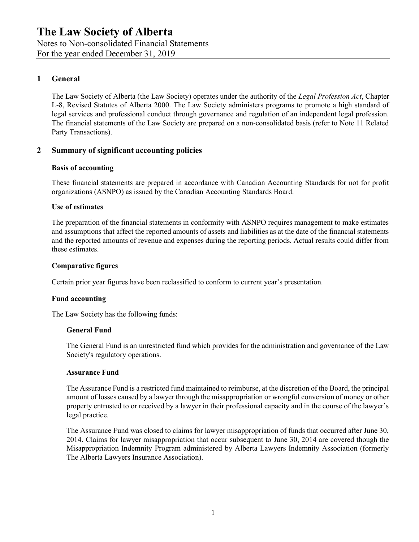Notes to Non-consolidated Financial Statements For the year ended December 31, 2019

### 1 General

The Law Society of Alberta (the Law Society) operates under the authority of the Legal Profession Act, Chapter L-8, Revised Statutes of Alberta 2000. The Law Society administers programs to promote a high standard of legal services and professional conduct through governance and regulation of an independent legal profession. The financial statements of the Law Society are prepared on a non-consolidated basis (refer to Note 11 Related Party Transactions).

#### 2 Summary of significant accounting policies

#### Basis of accounting

These financial statements are prepared in accordance with Canadian Accounting Standards for not for profit organizations (ASNPO) as issued by the Canadian Accounting Standards Board.

#### Use of estimates

The preparation of the financial statements in conformity with ASNPO requires management to make estimates and assumptions that affect the reported amounts of assets and liabilities as at the date of the financial statements and the reported amounts of revenue and expenses during the reporting periods. Actual results could differ from these estimates.

#### Comparative figures

Certain prior year figures have been reclassified to conform to current year's presentation.

#### Fund accounting

The Law Society has the following funds:

#### General Fund

The General Fund is an unrestricted fund which provides for the administration and governance of the Law Society's regulatory operations.

#### Assurance Fund

The Assurance Fund is a restricted fund maintained to reimburse, at the discretion of the Board, the principal amount of losses caused by a lawyer through the misappropriation or wrongful conversion of money or other property entrusted to or received by a lawyer in their professional capacity and in the course of the lawyer's legal practice.

The Assurance Fund was closed to claims for lawyer misappropriation of funds that occurred after June 30, 2014. Claims for lawyer misappropriation that occur subsequent to June 30, 2014 are covered though the Misappropriation Indemnity Program administered by Alberta Lawyers Indemnity Association (formerly The Alberta Lawyers Insurance Association).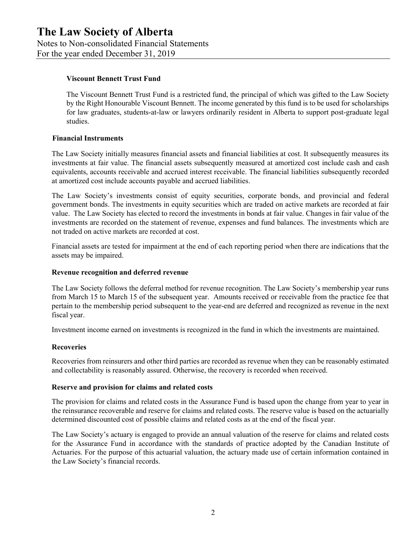Notes to Non-consolidated Financial Statements For the year ended December 31, 2019

#### Viscount Bennett Trust Fund

The Viscount Bennett Trust Fund is a restricted fund, the principal of which was gifted to the Law Society by the Right Honourable Viscount Bennett. The income generated by this fund is to be used for scholarships for law graduates, students-at-law or lawyers ordinarily resident in Alberta to support post-graduate legal studies.

#### Financial Instruments

The Law Society initially measures financial assets and financial liabilities at cost. It subsequently measures its investments at fair value. The financial assets subsequently measured at amortized cost include cash and cash equivalents, accounts receivable and accrued interest receivable. The financial liabilities subsequently recorded at amortized cost include accounts payable and accrued liabilities.

The Law Society's investments consist of equity securities, corporate bonds, and provincial and federal government bonds. The investments in equity securities which are traded on active markets are recorded at fair value. The Law Society has elected to record the investments in bonds at fair value. Changes in fair value of the investments are recorded on the statement of revenue, expenses and fund balances. The investments which are not traded on active markets are recorded at cost.

Financial assets are tested for impairment at the end of each reporting period when there are indications that the assets may be impaired.

#### Revenue recognition and deferred revenue

The Law Society follows the deferral method for revenue recognition. The Law Society's membership year runs from March 15 to March 15 of the subsequent year. Amounts received or receivable from the practice fee that pertain to the membership period subsequent to the year-end are deferred and recognized as revenue in the next fiscal year.

Investment income earned on investments is recognized in the fund in which the investments are maintained.

#### Recoveries

Recoveries from reinsurers and other third parties are recorded as revenue when they can be reasonably estimated and collectability is reasonably assured. Otherwise, the recovery is recorded when received.

#### Reserve and provision for claims and related costs

The provision for claims and related costs in the Assurance Fund is based upon the change from year to year in the reinsurance recoverable and reserve for claims and related costs. The reserve value is based on the actuarially determined discounted cost of possible claims and related costs as at the end of the fiscal year.

The Law Society's actuary is engaged to provide an annual valuation of the reserve for claims and related costs for the Assurance Fund in accordance with the standards of practice adopted by the Canadian Institute of Actuaries. For the purpose of this actuarial valuation, the actuary made use of certain information contained in the Law Society's financial records.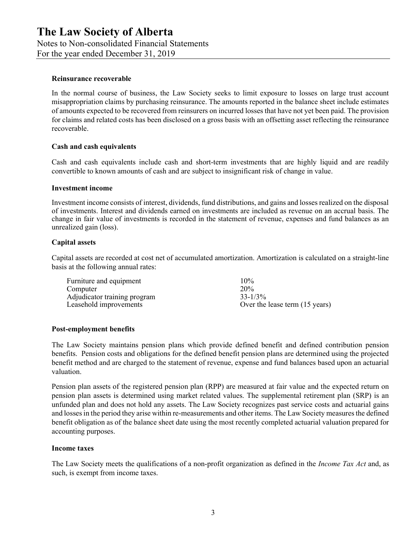Notes to Non-consolidated Financial Statements

For the year ended December 31, 2019

#### Reinsurance recoverable

In the normal course of business, the Law Society seeks to limit exposure to losses on large trust account misappropriation claims by purchasing reinsurance. The amounts reported in the balance sheet include estimates of amounts expected to be recovered from reinsurers on incurred losses that have not yet been paid. The provision for claims and related costs has been disclosed on a gross basis with an offsetting asset reflecting the reinsurance recoverable.

#### Cash and cash equivalents

Cash and cash equivalents include cash and short-term investments that are highly liquid and are readily convertible to known amounts of cash and are subject to insignificant risk of change in value.

#### Investment income

Investment income consists of interest, dividends, fund distributions, and gains and losses realized on the disposal of investments. Interest and dividends earned on investments are included as revenue on an accrual basis. The change in fair value of investments is recorded in the statement of revenue, expenses and fund balances as an unrealized gain (loss).

#### Capital assets

Capital assets are recorded at cost net of accumulated amortization. Amortization is calculated on a straight-line basis at the following annual rates:

| Furniture and equipment      | 10%                            |
|------------------------------|--------------------------------|
| Computer                     | 20%                            |
| Adjudicator training program | $33 - 1/3\%$                   |
| Leasehold improvements       | Over the lease term (15 years) |

#### Post-employment benefits

The Law Society maintains pension plans which provide defined benefit and defined contribution pension benefits. Pension costs and obligations for the defined benefit pension plans are determined using the projected benefit method and are charged to the statement of revenue, expense and fund balances based upon an actuarial valuation.

Pension plan assets of the registered pension plan (RPP) are measured at fair value and the expected return on pension plan assets is determined using market related values. The supplemental retirement plan (SRP) is an unfunded plan and does not hold any assets. The Law Society recognizes past service costs and actuarial gains and losses in the period they arise within re-measurements and other items. The Law Society measures the defined benefit obligation as of the balance sheet date using the most recently completed actuarial valuation prepared for accounting purposes.

#### Income taxes

The Law Society meets the qualifications of a non-profit organization as defined in the *Income Tax Act* and, as such, is exempt from income taxes.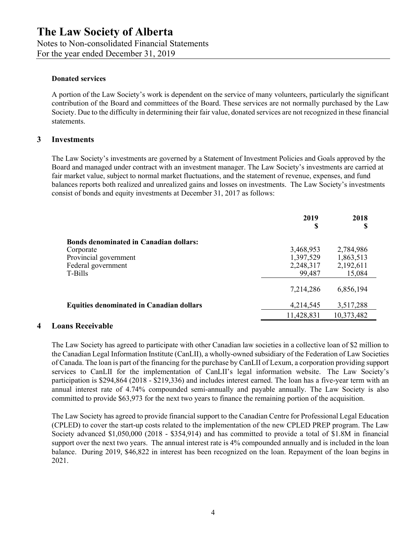Notes to Non-consolidated Financial Statements

For the year ended December 31, 2019

#### Donated services

A portion of the Law Society's work is dependent on the service of many volunteers, particularly the significant contribution of the Board and committees of the Board. These services are not normally purchased by the Law Society. Due to the difficulty in determining their fair value, donated services are not recognized in these financial statements.

#### 3 Investments

The Law Society's investments are governed by a Statement of Investment Policies and Goals approved by the Board and managed under contract with an investment manager. The Law Society's investments are carried at fair market value, subject to normal market fluctuations, and the statement of revenue, expenses, and fund balances reports both realized and unrealized gains and losses on investments. The Law Society's investments consist of bonds and equity investments at December 31, 2017 as follows:

|                                                 | 2019<br>\$ | 2018<br>S  |
|-------------------------------------------------|------------|------------|
| <b>Bonds denominated in Canadian dollars:</b>   |            |            |
| Corporate                                       | 3,468,953  | 2,784,986  |
| Provincial government                           | 1,397,529  | 1,863,513  |
| Federal government                              | 2,248,317  | 2,192,611  |
| T-Bills                                         | 99,487     | 15,084     |
|                                                 | 7,214,286  | 6,856,194  |
| <b>Equities denominated in Canadian dollars</b> | 4,214,545  | 3,517,288  |
|                                                 | 11,428,831 | 10,373,482 |

#### 4 Loans Receivable

The Law Society has agreed to participate with other Canadian law societies in a collective loan of \$2 million to the Canadian Legal Information Institute (CanLII), a wholly-owned subsidiary of the Federation of Law Societies of Canada. The loan is part of the financing for the purchase by CanLII of Lexum, a corporation providing support services to CanLII for the implementation of CanLII's legal information website. The Law Society's participation is \$294,864 (2018 - \$219,336) and includes interest earned. The loan has a five-year term with an annual interest rate of 4.74% compounded semi-annually and payable annually. The Law Society is also committed to provide \$63,973 for the next two years to finance the remaining portion of the acquisition.

The Law Society has agreed to provide financial support to the Canadian Centre for Professional Legal Education (CPLED) to cover the start-up costs related to the implementation of the new CPLED PREP program. The Law Society advanced \$1,050,000 (2018 - \$354,914) and has committed to provide a total of \$1.8M in financial support over the next two years. The annual interest rate is 4% compounded annually and is included in the loan balance. During 2019, \$46,822 in interest has been recognized on the loan. Repayment of the loan begins in 2021.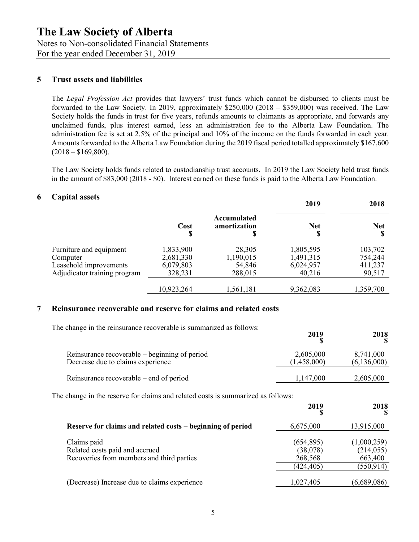Notes to Non-consolidated Financial Statements

For the year ended December 31, 2019

#### 5 Trust assets and liabilities

The Legal Profession Act provides that lawyers' trust funds which cannot be disbursed to clients must be forwarded to the Law Society. In 2019, approximately \$250,000 (2018 – \$359,000) was received. The Law Society holds the funds in trust for five years, refunds amounts to claimants as appropriate, and forwards any unclaimed funds, plus interest earned, less an administration fee to the Alberta Law Foundation. The administration fee is set at 2.5% of the principal and 10% of the income on the funds forwarded in each year. Amounts forwarded to the Alberta Law Foundation during the 2019 fiscal period totalled approximately \$167,600  $(2018 - $169,800)$ .

The Law Society holds funds related to custodianship trust accounts. In 2019 the Law Society held trust funds in the amount of \$83,000 (2018 - \$0). Interest earned on these funds is paid to the Alberta Law Foundation.

#### 6 Capital assets

|                              |            |                             | 2019       | 2018       |
|------------------------------|------------|-----------------------------|------------|------------|
|                              | Cost       | Accumulated<br>amortization | <b>Net</b> | <b>Net</b> |
|                              | \$         |                             | \$         | S          |
| Furniture and equipment      | 1,833,900  | 28,305                      | 1,805,595  | 103,702    |
| Computer                     | 2,681,330  | 1,190,015                   | 1,491,315  | 754,244    |
| Leasehold improvements       | 6,079,803  | 54,846                      | 6,024,957  | 411,237    |
| Adjudicator training program | 328,231    | 288,015                     | 40,216     | 90,517     |
|                              | 10,923,264 | 1,561,181                   | 9,362,083  | 1,359,700  |

#### 7 Reinsurance recoverable and reserve for claims and related costs

| 2019                     | 2018                       |
|--------------------------|----------------------------|
| 2,605,000<br>(1,458,000) | 8,741,000<br>(6, 136, 000) |
| 1,147,000                | 2,605,000                  |
|                          |                            |

The change in the reserve for claims and related costs is summarized as follows:

|                                                                                            | 2019                                           | 2018                                               |
|--------------------------------------------------------------------------------------------|------------------------------------------------|----------------------------------------------------|
| Reserve for claims and related costs – beginning of period                                 | 6,675,000                                      | 13,915,000                                         |
| Claims paid<br>Related costs paid and accrued<br>Recoveries from members and third parties | (654, 895)<br>(38,078)<br>268,568<br>(424,405) | (1,000,259)<br>(214, 055)<br>663,400<br>(550, 914) |
| (Decrease) Increase due to claims experience                                               | 1,027,405                                      | (6,689,086)                                        |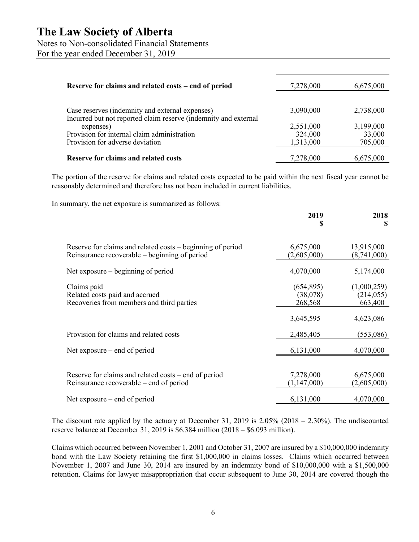Notes to Non-consolidated Financial Statements

For the year ended December 31, 2019

| Reserve for claims and related costs – end of period            | 7,278,000 | 6,675,000 |
|-----------------------------------------------------------------|-----------|-----------|
|                                                                 |           |           |
| Case reserves (indemnity and external expenses)                 | 3,090,000 | 2,738,000 |
| Incurred but not reported claim reserve (indemnity and external |           |           |
| expenses)                                                       | 2,551,000 | 3,199,000 |
| Provision for internal claim administration                     | 324,000   | 33,000    |
| Provision for adverse deviation                                 | 1,313,000 | 705,000   |
|                                                                 |           |           |
| Reserve for claims and related costs                            | 7,278,000 | 6,675,000 |

The portion of the reserve for claims and related costs expected to be paid within the next fiscal year cannot be reasonably determined and therefore has not been included in current liabilities.

In summary, the net exposure is summarized as follows:

|                                                                                                             | 2019<br>S                         | 2018<br>S                            |
|-------------------------------------------------------------------------------------------------------------|-----------------------------------|--------------------------------------|
| Reserve for claims and related costs – beginning of period<br>Reinsurance recoverable – beginning of period | 6,675,000<br>(2,605,000)          | 13,915,000<br>(8,741,000)            |
| Net exposure $-$ beginning of period                                                                        | 4,070,000                         | 5,174,000                            |
| Claims paid<br>Related costs paid and accrued<br>Recoveries from members and third parties                  | (654, 895)<br>(38,078)<br>268,568 | (1,000,259)<br>(214, 055)<br>663,400 |
|                                                                                                             | 3,645,595                         | 4,623,086                            |
| Provision for claims and related costs                                                                      | 2,485,405                         | (553,086)                            |
| Net exposure $-$ end of period                                                                              | 6,131,000                         | 4,070,000                            |
| Reserve for claims and related costs – end of period<br>Reinsurance recoverable – end of period             | 7,278,000<br>(1,147,000)          | 6,675,000<br>(2,605,000)             |
| Net exposure $-$ end of period                                                                              | 6,131,000                         | 4,070,000                            |

The discount rate applied by the actuary at December 31, 2019 is  $2.05\%$  (2018 – 2.30%). The undiscounted reserve balance at December 31, 2019 is \$6.384 million (2018 – \$6.093 million).

Claims which occurred between November 1, 2001 and October 31, 2007 are insured by a \$10,000,000 indemnity bond with the Law Society retaining the first \$1,000,000 in claims losses. Claims which occurred between November 1, 2007 and June 30, 2014 are insured by an indemnity bond of \$10,000,000 with a \$1,500,000 retention. Claims for lawyer misappropriation that occur subsequent to June 30, 2014 are covered though the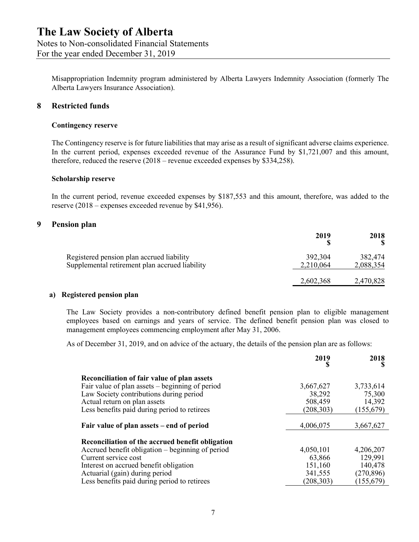Misappropriation Indemnity program administered by Alberta Lawyers Indemnity Association (formerly The Alberta Lawyers Insurance Association).

#### 8 Restricted funds

#### Contingency reserve

The Contingency reserve is for future liabilities that may arise as a result of significant adverse claims experience. In the current period, expenses exceeded revenue of the Assurance Fund by \$1,721,007 and this amount, therefore, reduced the reserve (2018 – revenue exceeded expenses by \$334,258).

#### Scholarship reserve

In the current period, revenue exceeded expenses by \$187,553 and this amount, therefore, was added to the reserve (2018 – expenses exceeded revenue by \$41,956).

#### 9 Pension plan

|                                                                                             | 2019                 | 2018                 |
|---------------------------------------------------------------------------------------------|----------------------|----------------------|
| Registered pension plan accrued liability<br>Supplemental retirement plan accrued liability | 392,304<br>2,210,064 | 382,474<br>2,088,354 |
|                                                                                             | 2,602,368            | 2,470,828            |

#### a) Registered pension plan

The Law Society provides a non-contributory defined benefit pension plan to eligible management employees based on earnings and years of service. The defined benefit pension plan was closed to management employees commencing employment after May 31, 2006.

As of December 31, 2019, and on advice of the actuary, the details of the pension plan are as follows:

|                                                  | 2019       | 2018       |
|--------------------------------------------------|------------|------------|
| Reconciliation of fair value of plan assets      |            |            |
| Fair value of plan assets – beginning of period  | 3,667,627  | 3,733,614  |
| Law Society contributions during period          | 38,292     | 75,300     |
| Actual return on plan assets                     | 508,459    | 14,392     |
| Less benefits paid during period to retirees     | (208, 303) | (155,679)  |
| Fair value of plan assets – end of period        | 4,006,075  | 3,667,627  |
| Reconciliation of the accrued benefit obligation |            |            |
| Accrued benefit obligation – beginning of period | 4,050,101  | 4,206,207  |
| Current service cost                             | 63,866     | 129,991    |
| Interest on accrued benefit obligation           | 151,160    | 140,478    |
| Actuarial (gain) during period                   | 341,555    | (270, 896) |
| Less benefits paid during period to retirees     | (208, 303) | 155,679    |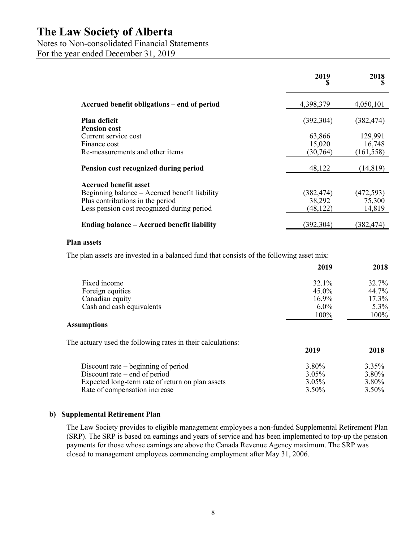Notes to Non-consolidated Financial Statements For the year ended December 31, 2019

|                                               | 2019<br>S  | 2018<br>S  |
|-----------------------------------------------|------------|------------|
| Accrued benefit obligations – end of period   | 4,398,379  | 4,050,101  |
| <b>Plan deficit</b><br><b>Pension cost</b>    | (392, 304) | (382, 474) |
| Current service cost                          | 63,866     | 129,991    |
| Finance cost                                  | 15,020     | 16,748     |
| Re-measurements and other items               | (30,764)   | (161, 558) |
| Pension cost recognized during period         | 48,122     | (14, 819)  |
| <b>Accrued benefit asset</b>                  |            |            |
| Beginning balance – Accrued benefit liability | (382, 474) | (472, 593) |
| Plus contributions in the period              | 38,292     | 75,300     |
| Less pension cost recognized during period    | (48, 122)  | 14,819     |
| Ending balance - Accrued benefit liability    | (392,304)  | (382,474)  |

#### Plan assets

The plan assets are invested in a balanced fund that consists of the following asset mix:

|                                                             | 2019     | 2018     |
|-------------------------------------------------------------|----------|----------|
| Fixed income                                                | $32.1\%$ | 32.7%    |
| Foreign equities                                            | $45.0\%$ | 44.7%    |
| Canadian equity                                             | 16.9%    | 17.3%    |
| Cash and cash equivalents                                   | $6.0\%$  | $5.3\%$  |
|                                                             | 100%     | 100%     |
| <b>Assumptions</b>                                          |          |          |
| The actuary used the following rates in their calculations: | 2019     | 2018     |
| Discount rate $-$ beginning of period                       | 3.80%    | 3.35%    |
| Discount rate – end of period                               | 3.05%    | 3.80%    |
| Expected long-term rate of return on plan assets            | 3.05%    | 3.80%    |
| Rate of compensation increase                               | 3.50%    | $3.50\%$ |

#### b) Supplemental Retirement Plan

The Law Society provides to eligible management employees a non-funded Supplemental Retirement Plan (SRP). The SRP is based on earnings and years of service and has been implemented to top-up the pension payments for those whose earnings are above the Canada Revenue Agency maximum. The SRP was closed to management employees commencing employment after May 31, 2006.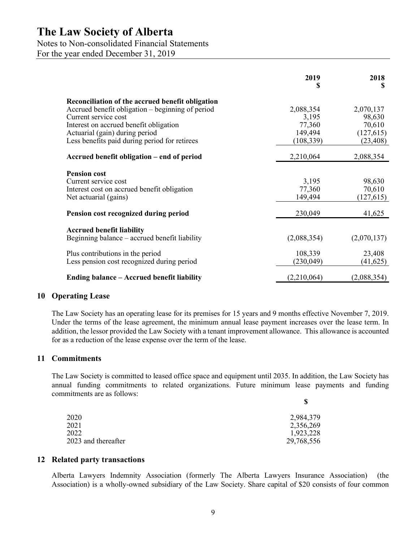#### Notes to Non-consolidated Financial Statements

For the year ended December 31, 2019

|                                                                                                                                                                                                          | 2019<br>S                               | 2018<br>S                                   |
|----------------------------------------------------------------------------------------------------------------------------------------------------------------------------------------------------------|-----------------------------------------|---------------------------------------------|
| Reconciliation of the accrued benefit obligation<br>Accrued benefit obligation – beginning of period<br>Current service cost<br>Interest on accrued benefit obligation<br>Actuarial (gain) during period | 2,088,354<br>3,195<br>77,360<br>149,494 | 2,070,137<br>98,630<br>70,610<br>(127, 615) |
| Less benefits paid during period for retirees<br>Accrued benefit obligation – end of period                                                                                                              | (108, 339)<br>2,210,064                 | (23, 408)<br>2,088,354                      |
| <b>Pension cost</b><br>Current service cost<br>Interest cost on accrued benefit obligation<br>Net actuarial (gains)                                                                                      | 3,195<br>77,360<br>149,494              | 98,630<br>70,610<br>(127, 615)              |
| Pension cost recognized during period                                                                                                                                                                    | 230,049                                 | 41,625                                      |
| <b>Accrued benefit liability</b><br>Beginning balance – accrued benefit liability                                                                                                                        | (2,088,354)                             | (2,070,137)                                 |
| Plus contributions in the period<br>Less pension cost recognized during period                                                                                                                           | 108,339<br>(230, 049)                   | 23,408<br>(41, 625)                         |
| Ending balance – Accrued benefit liability                                                                                                                                                               | (2,210,064)                             | (2,088,354)                                 |

#### 10 Operating Lease

The Law Society has an operating lease for its premises for 15 years and 9 months effective November 7, 2019. Under the terms of the lease agreement, the minimum annual lease payment increases over the lease term. In addition, the lessor provided the Law Society with a tenant improvement allowance. This allowance is accounted for as a reduction of the lease expense over the term of the lease.

#### 11 Commitments

The Law Society is committed to leased office space and equipment until 2035. In addition, the Law Society has annual funding commitments to related organizations. Future minimum lease payments and funding commitments are as follows:

\$

| 2020                | 2,984,379  |
|---------------------|------------|
| 2021                | 2,356,269  |
| 2022                | 1,923,228  |
| 2023 and thereafter | 29,768,556 |

#### 12 Related party transactions

Alberta Lawyers Indemnity Association (formerly The Alberta Lawyers Insurance Association) (the Association) is a wholly-owned subsidiary of the Law Society. Share capital of \$20 consists of four common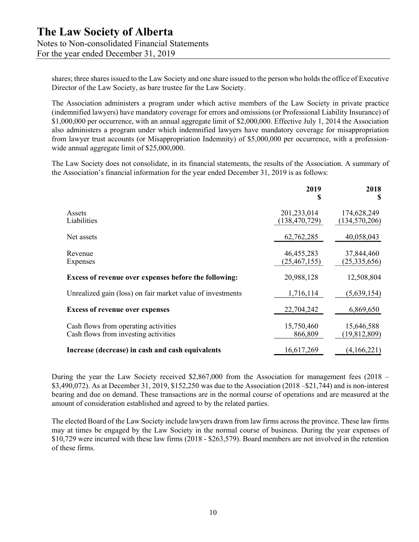shares; three shares issued to the Law Society and one share issued to the person who holds the office of Executive Director of the Law Society, as bare trustee for the Law Society.

The Association administers a program under which active members of the Law Society in private practice (indemnified lawyers) have mandatory coverage for errors and omissions (or Professional Liability Insurance) of \$1,000,000 per occurrence, with an annual aggregate limit of \$2,000,000. Effective July 1, 2014 the Association also administers a program under which indemnified lawyers have mandatory coverage for misappropriation from lawyer trust accounts (or Misappropriation Indemnity) of \$5,000,000 per occurrence, with a professionwide annual aggregate limit of \$25,000,000.

The Law Society does not consolidate, in its financial statements, the results of the Association. A summary of the Association's financial information for the year ended December 31, 2019 is as follows:

|                                                                              | 2019                           | 2018<br>S                      |
|------------------------------------------------------------------------------|--------------------------------|--------------------------------|
| Assets<br>Liabilities                                                        | 201,233,014<br>(138, 470, 729) | 174,628,249<br>(134, 570, 206) |
| Net assets                                                                   | 62,762,285                     | 40,058,043                     |
| Revenue<br>Expenses                                                          | 46, 455, 283<br>(25, 467, 155) | 37,844,460<br>(25, 335, 656)   |
| Excess of revenue over expenses before the following:                        | 20,988,128                     | 12,508,804                     |
| Unrealized gain (loss) on fair market value of investments                   | 1,716,114                      | (5,639,154)                    |
| <b>Excess of revenue over expenses</b>                                       | 22,704,242                     | 6,869,650                      |
| Cash flows from operating activities<br>Cash flows from investing activities | 15,750,460<br>866,809          | 15,646,588<br>(19, 812, 809)   |
| Increase (decrease) in cash and cash equivalents                             | 16,617,269                     | (4,166,221)                    |

During the year the Law Society received \$2,867,000 from the Association for management fees (2018 – \$3,490,072). As at December 31, 2019, \$152,250 was due to the Association (2018 –\$21,744) and is non-interest bearing and due on demand. These transactions are in the normal course of operations and are measured at the amount of consideration established and agreed to by the related parties.

The elected Board of the Law Society include lawyers drawn from law firms across the province. These law firms may at times be engaged by the Law Society in the normal course of business. During the year expenses of \$10,729 were incurred with these law firms (2018 - \$263,579). Board members are not involved in the retention of these firms.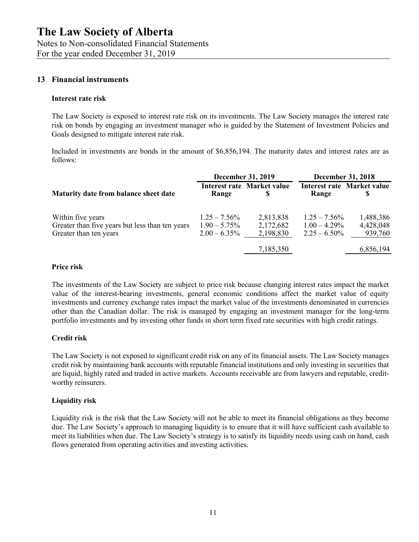### 13 Financial instruments

#### Interest rate risk

The Law Society is exposed to interest rate risk on its investments. The Law Society manages the interest rate risk on bonds by engaging an investment manager who is guided by the Statement of Investment Policies and Goals designed to mitigate interest rate risk.

Included in investments are bonds in the amount of \$6,856,194. The maturity dates and interest rates are as follows:

|                                                                                                | <b>December 31, 2019</b>                              |                                     | December 31, 2018                                     |                                   |
|------------------------------------------------------------------------------------------------|-------------------------------------------------------|-------------------------------------|-------------------------------------------------------|-----------------------------------|
| Maturity date from balance sheet date                                                          | Range                                                 | <b>Interest rate Market value</b>   | Range                                                 | Interest rate Market value        |
| Within five years<br>Greater than five years but less than ten years<br>Greater than ten years | $1.25 - 7.56\%$<br>$1.90 - 5.75\%$<br>$2.00 - 6.35\%$ | 2,813,838<br>2,172,682<br>2,198,830 | $1.25 - 7.56\%$<br>$1.00 - 4.29\%$<br>$2.25 - 6.50\%$ | 1,488,386<br>4,428,048<br>939,760 |
|                                                                                                |                                                       | 7,185,350                           |                                                       | 6,856,194                         |

#### Price risk

The investments of the Law Society are subject to price risk because changing interest rates impact the market value of the interest-bearing investments, general economic conditions affect the market value of equity investments and currency exchange rates impact the market value of the investments denominated in currencies other than the Canadian dollar. The risk is managed by engaging an investment manager for the long-term portfolio investments and by investing other funds in short term fixed rate securities with high credit ratings.

#### Credit risk

The Law Society is not exposed to significant credit risk on any of its financial assets. The Law Society manages credit risk by maintaining bank accounts with reputable financial institutions and only investing in securities that are liquid, highly rated and traded in active markets. Accounts receivable are from lawyers and reputable, creditworthy reinsurers.

#### Liquidity risk

Liquidity risk is the risk that the Law Society will not be able to meet its financial obligations as they become due. The Law Society's approach to managing liquidity is to ensure that it will have sufficient cash available to meet its liabilities when due. The Law Society's strategy is to satisfy its liquidity needs using cash on hand, cash flows generated from operating activities and investing activities.